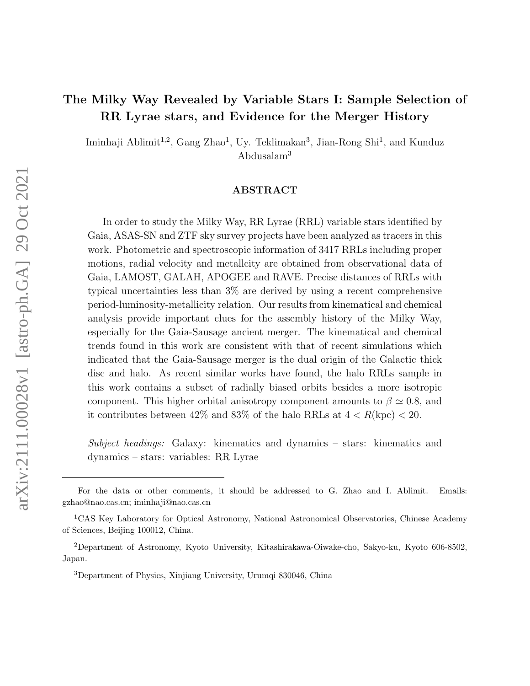# The Milky Way Revealed by Variable Stars I: Sample Selection of RR Lyrae stars, and Evidence for the Merger History

Iminhaji Ablimit<sup>1,2</sup>, Gang Zhao<sup>1</sup>, Uy. Teklimakan<sup>3</sup>, Jian-Rong Shi<sup>1</sup>, and Kunduz Abdusalam<sup>3</sup>

## ABSTRACT

In order to study the Milky Way, RR Lyrae (RRL) variable stars identified by Gaia, ASAS-SN and ZTF sky survey projects have been analyzed as tracers in this work. Photometric and spectroscopic information of 3417 RRLs including proper motions, radial velocity and metallcity are obtained from observational data of Gaia, LAMOST, GALAH, APOGEE and RAVE. Precise distances of RRLs with typical uncertainties less than 3% are derived by using a recent comprehensive period-luminosity-metallicity relation. Our results from kinematical and chemical analysis provide important clues for the assembly history of the Milky Way, especially for the Gaia-Sausage ancient merger. The kinematical and chemical trends found in this work are consistent with that of recent simulations which indicated that the Gaia-Sausage merger is the dual origin of the Galactic thick disc and halo. As recent similar works have found, the halo RRLs sample in this work contains a subset of radially biased orbits besides a more isotropic component. This higher orbital anisotropy component amounts to  $\beta \simeq 0.8$ , and it contributes between 42% and 83% of the halo RRLs at  $4 < R(\text{kpc}) < 20$ .

Subject headings: Galaxy: kinematics and dynamics – stars: kinematics and dynamics – stars: variables: RR Lyrae

For the data or other comments, it should be addressed to G. Zhao and I. Ablimit. Emails: gzhao@nao.cas.cn; iminhaji@nao.cas.cn

<sup>1</sup>CAS Key Laboratory for Optical Astronomy, National Astronomical Observatories, Chinese Academy of Sciences, Beijing 100012, China.

<sup>2</sup>Department of Astronomy, Kyoto University, Kitashirakawa-Oiwake-cho, Sakyo-ku, Kyoto 606-8502, Japan.

<sup>3</sup>Department of Physics, Xinjiang University, Urumqi 830046, China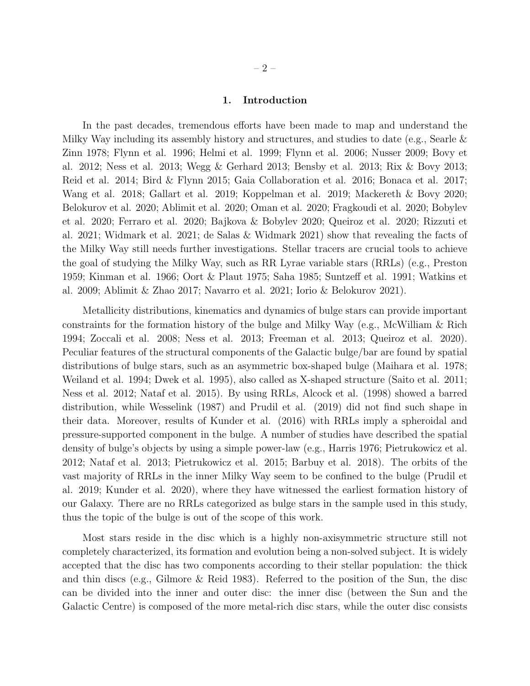$-2-$ 

## 1. Introduction

In the past decades, tremendous efforts have been made to map and understand the Milky Way including its assembly history and structures, and studies to date (e.g., Searle & Zinn 1978; Flynn et al. 1996; Helmi et al. 1999; Flynn et al. 2006; Nusser 2009; Bovy et al. 2012; Ness et al. 2013; Wegg & Gerhard 2013; Bensby et al. 2013; Rix & Bovy 2013; Reid et al. 2014; Bird & Flynn 2015; Gaia Collaboration et al. 2016; Bonaca et al. 2017; Wang et al. 2018; Gallart et al. 2019; Koppelman et al. 2019; Mackereth & Bovy 2020; Belokurov et al. 2020; Ablimit et al. 2020; Oman et al. 2020; Fragkoudi et al. 2020; Bobylev et al. 2020; Ferraro et al. 2020; Bajkova & Bobylev 2020; Queiroz et al. 2020; Rizzuti et al. 2021; Widmark et al. 2021; de Salas & Widmark 2021) show that revealing the facts of the Milky Way still needs further investigations. Stellar tracers are crucial tools to achieve the goal of studying the Milky Way, such as RR Lyrae variable stars (RRLs) (e.g., Preston 1959; Kinman et al. 1966; Oort & Plaut 1975; Saha 1985; Suntzeff et al. 1991; Watkins et al. 2009; Ablimit & Zhao 2017; Navarro et al. 2021; Iorio & Belokurov 2021).

Metallicity distributions, kinematics and dynamics of bulge stars can provide important constraints for the formation history of the bulge and Milky Way (e.g., McWilliam & Rich 1994; Zoccali et al. 2008; Ness et al. 2013; Freeman et al. 2013; Queiroz et al. 2020). Peculiar features of the structural components of the Galactic bulge/bar are found by spatial distributions of bulge stars, such as an asymmetric box-shaped bulge (Maihara et al. 1978; Weiland et al. 1994; Dwek et al. 1995), also called as X-shaped structure (Saito et al. 2011; Ness et al. 2012; Nataf et al. 2015). By using RRLs, Alcock et al. (1998) showed a barred distribution, while Wesselink (1987) and Prudil et al. (2019) did not find such shape in their data. Moreover, results of Kunder et al. (2016) with RRLs imply a spheroidal and pressure-supported component in the bulge. A number of studies have described the spatial density of bulge's objects by using a simple power-law (e.g., Harris 1976; Pietrukowicz et al. 2012; Nataf et al. 2013; Pietrukowicz et al. 2015; Barbuy et al. 2018). The orbits of the vast majority of RRLs in the inner Milky Way seem to be confined to the bulge (Prudil et al. 2019; Kunder et al. 2020), where they have witnessed the earliest formation history of our Galaxy. There are no RRLs categorized as bulge stars in the sample used in this study, thus the topic of the bulge is out of the scope of this work.

Most stars reside in the disc which is a highly non-axisymmetric structure still not completely characterized, its formation and evolution being a non-solved subject. It is widely accepted that the disc has two components according to their stellar population: the thick and thin discs (e.g., Gilmore & Reid 1983). Referred to the position of the Sun, the disc can be divided into the inner and outer disc: the inner disc (between the Sun and the Galactic Centre) is composed of the more metal-rich disc stars, while the outer disc consists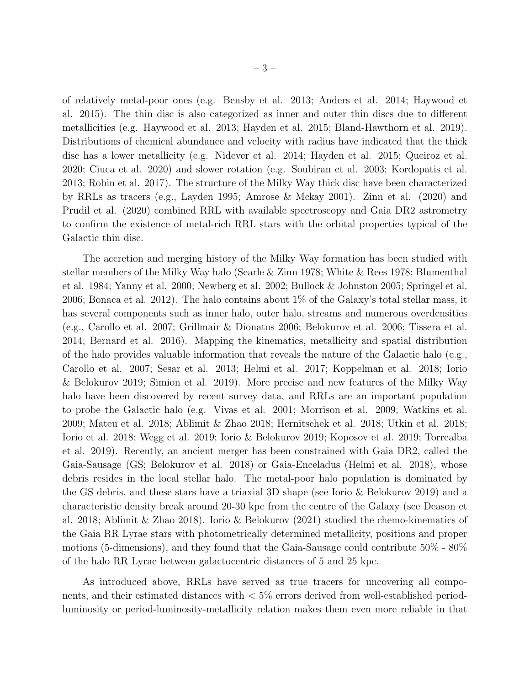of relatively metal-poor ones (e.g. Bensby et al. 2013; Anders et al. 2014; Haywood et al. 2015). The thin disc is also categorized as inner and outer thin discs due to different metallicities (e.g. Haywood et al. 2013; Hayden et al. 2015; Bland-Hawthorn et al. 2019). Distributions of chemical abundance and velocity with radius have indicated that the thick disc has a lower metallicity (e.g. Nidever et al. 2014; Hayden et al. 2015; Queiroz et al. 2020; Ciuca et al. 2020) and slower rotation (e.g. Soubiran et al. 2003; Kordopatis et al. 2013; Robin et al. 2017). The structure of the Milky Way thick disc have been characterized by RRLs as tracers (e.g., Layden 1995; Amrose & Mckay 2001). Zinn et al. (2020) and Prudil et al. (2020) combined RRL with available spectroscopy and Gaia DR2 astrometry to confirm the existence of metal-rich RRL stars with the orbital properties typical of the Galactic thin disc.

The accretion and merging history of the Milky Way formation has been studied with stellar members of the Milky Way halo (Searle & Zinn 1978; White & Rees 1978; Blumenthal et al. 1984; Yanny et al. 2000; Newberg et al. 2002; Bullock & Johnston 2005; Springel et al. 2006; Bonaca et al. 2012). The halo contains about 1% of the Galaxy's total stellar mass, it has several components such as inner halo, outer halo, streams and numerous overdensities (e.g., Carollo et al. 2007; Grillmair & Dionatos 2006; Belokurov et al. 2006; Tissera et al. 2014; Bernard et al. 2016). Mapping the kinematics, metallicity and spatial distribution of the halo provides valuable information that reveals the nature of the Galactic halo (e.g., Carollo et al. 2007; Sesar et al. 2013; Helmi et al. 2017; Koppelman et al. 2018; Iorio & Belokurov 2019; Simion et al. 2019). More precise and new features of the Milky Way halo have been discovered by recent survey data, and RRLs are an important population to probe the Galactic halo (e.g. Vivas et al. 2001; Morrison et al. 2009; Watkins et al. 2009; Mateu et al. 2018; Ablimit & Zhao 2018; Hernitschek et al. 2018; Utkin et al. 2018; Iorio et al. 2018; Wegg et al. 2019; Iorio & Belokurov 2019; Koposov et al. 2019; Torrealba et al. 2019). Recently, an ancient merger has been constrained with Gaia DR2, called the Gaia-Sausage (GS; Belokurov et al. 2018) or Gaia-Enceladus (Helmi et al. 2018), whose debris resides in the local stellar halo. The metal-poor halo population is dominated by the GS debris, and these stars have a triaxial 3D shape (see Iorio & Belokurov 2019) and a characteristic density break around 20-30 kpc from the centre of the Galaxy (see Deason et al. 2018; Ablimit & Zhao 2018). Iorio & Belokurov (2021) studied the chemo-kinematics of the Gaia RR Lyrae stars with photometrically determined metallicity, positions and proper motions (5-dimensions), and they found that the Gaia-Sausage could contribute 50% - 80% of the halo RR Lyrae between galactocentric distances of 5 and 25 kpc.

As introduced above, RRLs have served as true tracers for uncovering all components, and their estimated distances with < 5% errors derived from well-established periodluminosity or period-luminosity-metallicity relation makes them even more reliable in that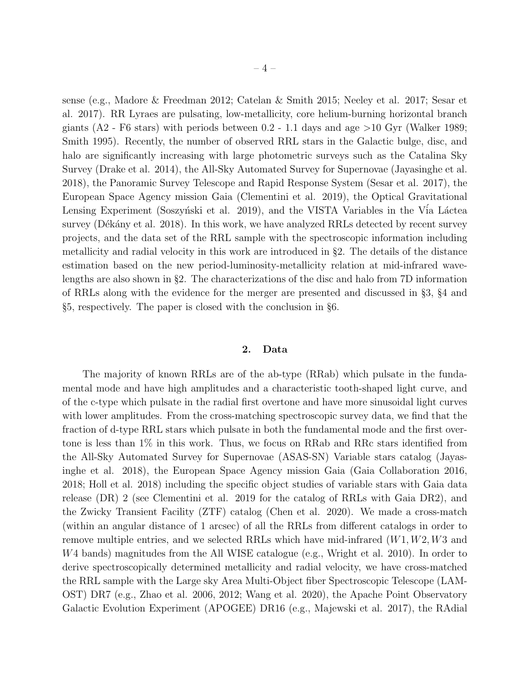sense (e.g., Madore & Freedman 2012; Catelan & Smith 2015; Neeley et al. 2017; Sesar et al. 2017). RR Lyraes are pulsating, low-metallicity, core helium-burning horizontal branch giants  $(A2 - F6 \text{ stars})$  with periods between 0.2 - 1.1 days and age  $>10$  Gyr (Walker 1989; Smith 1995). Recently, the number of observed RRL stars in the Galactic bulge, disc, and halo are significantly increasing with large photometric surveys such as the Catalina Sky Survey (Drake et al. 2014), the All-Sky Automated Survey for Supernovae (Jayasinghe et al. 2018), the Panoramic Survey Telescope and Rapid Response System (Sesar et al. 2017), the European Space Agency mission Gaia (Clementini et al. 2019), the Optical Gravitational Lensing Experiment (Soszyński et al. 2019), and the VISTA Variables in the Vía Láctea survey (Dékány et al. 2018). In this work, we have analyzed RRLs detected by recent survey projects, and the data set of the RRL sample with the spectroscopic information including metallicity and radial velocity in this work are introduced in §2. The details of the distance estimation based on the new period-luminosity-metallicity relation at mid-infrared wavelengths are also shown in §2. The characterizations of the disc and halo from 7D information of RRLs along with the evidence for the merger are presented and discussed in §3, §4 and §5, respectively. The paper is closed with the conclusion in §6.

### 2. Data

The majority of known RRLs are of the ab-type (RRab) which pulsate in the fundamental mode and have high amplitudes and a characteristic tooth-shaped light curve, and of the c-type which pulsate in the radial first overtone and have more sinusoidal light curves with lower amplitudes. From the cross-matching spectroscopic survey data, we find that the fraction of d-type RRL stars which pulsate in both the fundamental mode and the first overtone is less than 1% in this work. Thus, we focus on RRab and RRc stars identified from the All-Sky Automated Survey for Supernovae (ASAS-SN) Variable stars catalog (Jayasinghe et al. 2018), the European Space Agency mission Gaia (Gaia Collaboration 2016, 2018; Holl et al. 2018) including the specific object studies of variable stars with Gaia data release (DR) 2 (see Clementini et al. 2019 for the catalog of RRLs with Gaia DR2), and the Zwicky Transient Facility (ZTF) catalog (Chen et al. 2020). We made a cross-match (within an angular distance of 1 arcsec) of all the RRLs from different catalogs in order to remove multiple entries, and we selected RRLs which have mid-infrared  $(W1, W2, W3$  and W4 bands) magnitudes from the All WISE catalogue (e.g., Wright et al. 2010). In order to derive spectroscopically determined metallicity and radial velocity, we have cross-matched the RRL sample with the Large sky Area Multi-Object fiber Spectroscopic Telescope (LAM-OST) DR7 (e.g., Zhao et al. 2006, 2012; Wang et al. 2020), the Apache Point Observatory Galactic Evolution Experiment (APOGEE) DR16 (e.g., Majewski et al. 2017), the RAdial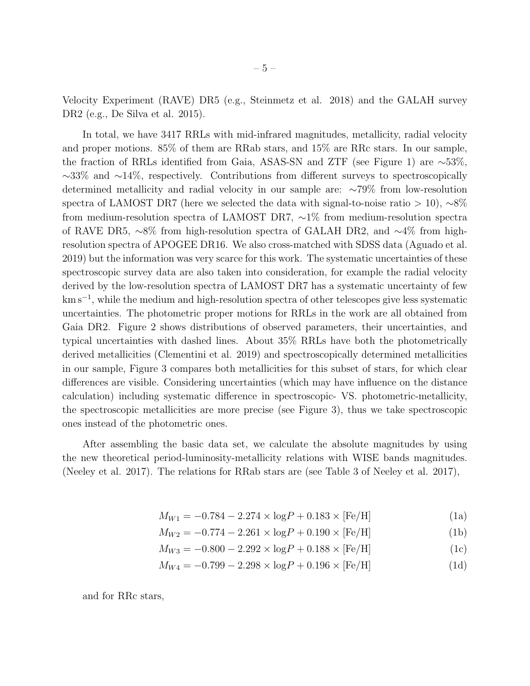Velocity Experiment (RAVE) DR5 (e.g., Steinmetz et al. 2018) and the GALAH survey DR2 (e.g., De Silva et al. 2015).

In total, we have 3417 RRLs with mid-infrared magnitudes, metallicity, radial velocity and proper motions. 85% of them are RRab stars, and 15% are RRc stars. In our sample, the fraction of RRLs identified from Gaia, ASAS-SN and ZTF (see Figure 1) are ∼53%, ∼33% and ∼14%, respectively. Contributions from different surveys to spectroscopically determined metallicity and radial velocity in our sample are: ∼79% from low-resolution spectra of LAMOST DR7 (here we selected the data with signal-to-noise ratio > 10),  $~\sim8\%$ from medium-resolution spectra of LAMOST DR7, ∼1% from medium-resolution spectra of RAVE DR5, ∼8% from high-resolution spectra of GALAH DR2, and ∼4% from highresolution spectra of APOGEE DR16. We also cross-matched with SDSS data (Aguado et al. 2019) but the information was very scarce for this work. The systematic uncertainties of these spectroscopic survey data are also taken into consideration, for example the radial velocity derived by the low-resolution spectra of LAMOST DR7 has a systematic uncertainty of few km s<sup>−</sup><sup>1</sup> , while the medium and high-resolution spectra of other telescopes give less systematic uncertainties. The photometric proper motions for RRLs in the work are all obtained from Gaia DR2. Figure 2 shows distributions of observed parameters, their uncertainties, and typical uncertainties with dashed lines. About 35% RRLs have both the photometrically derived metallicities (Clementini et al. 2019) and spectroscopically determined metallicities in our sample, Figure 3 compares both metallicities for this subset of stars, for which clear differences are visible. Considering uncertainties (which may have influence on the distance calculation) including systematic difference in spectroscopic- VS. photometric-metallicity, the spectroscopic metallicities are more precise (see Figure 3), thus we take spectroscopic ones instead of the photometric ones.

After assembling the basic data set, we calculate the absolute magnitudes by using the new theoretical period-luminosity-metallicity relations with WISE bands magnitudes. (Neeley et al. 2017). The relations for RRab stars are (see Table 3 of Neeley et al. 2017),

$$
M_{W1} = -0.784 - 2.274 \times \log P + 0.183 \times [\text{Fe/H}] \tag{1a}
$$

$$
M_{W2} = -0.774 - 2.261 \times \log P + 0.190 \times [\text{Fe/H}] \tag{1b}
$$

$$
M_{W3} = -0.800 - 2.292 \times \log P + 0.188 \times [\text{Fe/H}] \tag{1c}
$$

$$
M_{W4} = -0.799 - 2.298 \times \log P + 0.196 \times [\text{Fe/H}] \tag{1d}
$$

and for RRc stars,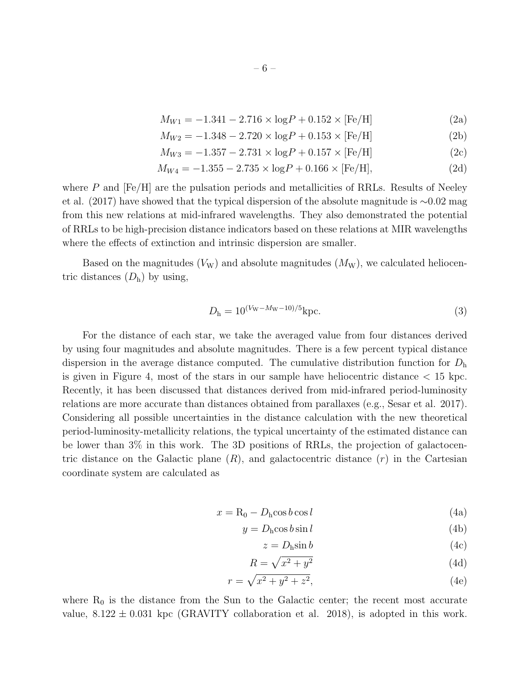$$
M_{W1} = -1.341 - 2.716 \times \log P + 0.152 \times \text{[Fe/H]} \tag{2a}
$$

$$
M_{W2} = -1.348 - 2.720 \times \log P + 0.153 \times \text{[Fe/H]} \tag{2b}
$$

$$
M_{W3} = -1.357 - 2.731 \times \log P + 0.157 \times [\text{Fe/H}] \tag{2c}
$$

$$
M_{W4} = -1.355 - 2.735 \times \log P + 0.166 \times [\text{Fe/H}], \tag{2d}
$$

where P and  $[Fe/H]$  are the pulsation periods and metallicities of RRLs. Results of Neeley et al. (2017) have showed that the typical dispersion of the absolute magnitude is ∼0.02 mag from this new relations at mid-infrared wavelengths. They also demonstrated the potential of RRLs to be high-precision distance indicators based on these relations at MIR wavelengths where the effects of extinction and intrinsic dispersion are smaller.

Based on the magnitudes  $(V_W)$  and absolute magnitudes  $(M_W)$ , we calculated heliocentric distances  $(D_h)$  by using,

$$
D_{\rm h} = 10^{(V_{\rm W} - M_{\rm W} - 10)/5} \rm kpc.
$$
\n(3)

For the distance of each star, we take the averaged value from four distances derived by using four magnitudes and absolute magnitudes. There is a few percent typical distance dispersion in the average distance computed. The cumulative distribution function for  $D<sub>h</sub>$ is given in Figure 4, most of the stars in our sample have heliocentric distance  $< 15$  kpc. Recently, it has been discussed that distances derived from mid-infrared period-luminosity relations are more accurate than distances obtained from parallaxes (e.g., Sesar et al. 2017). Considering all possible uncertainties in the distance calculation with the new theoretical period-luminosity-metallicity relations, the typical uncertainty of the estimated distance can be lower than 3% in this work. The 3D positions of RRLs, the projection of galactocentric distance on the Galactic plane  $(R)$ , and galactocentric distance  $(r)$  in the Cartesian coordinate system are calculated as

$$
x = R_0 - D_h \cos b \cos l \tag{4a}
$$

$$
y = Dh \cos b \sin l \tag{4b}
$$

$$
z = D_{\rm h} \sin b \tag{4c}
$$

$$
R = \sqrt{x^2 + y^2} \tag{4d}
$$

$$
r = \sqrt{x^2 + y^2 + z^2},\tag{4e}
$$

where  $R_0$  is the distance from the Sun to the Galactic center; the recent most accurate value,  $8.122 \pm 0.031$  kpc (GRAVITY collaboration et al. 2018), is adopted in this work.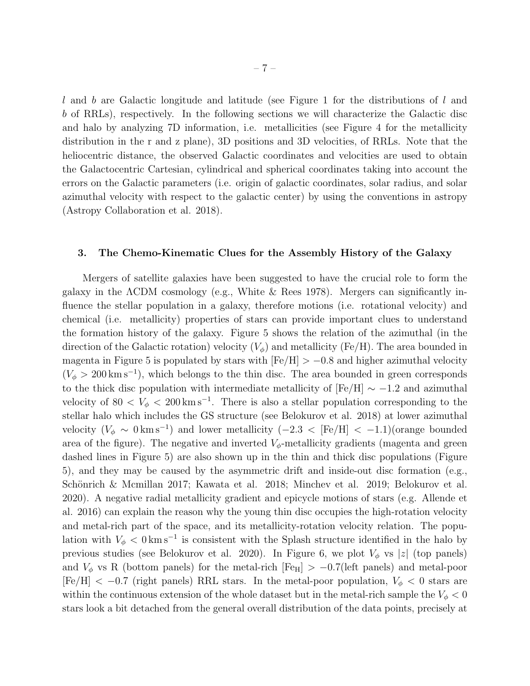l and b are Galactic longitude and latitude (see Figure 1 for the distributions of l and b of RRLs), respectively. In the following sections we will characterize the Galactic disc and halo by analyzing 7D information, i.e. metallicities (see Figure 4 for the metallicity distribution in the r and z plane), 3D positions and 3D velocities, of RRLs. Note that the heliocentric distance, the observed Galactic coordinates and velocities are used to obtain the Galactocentric Cartesian, cylindrical and spherical coordinates taking into account the errors on the Galactic parameters (i.e. origin of galactic coordinates, solar radius, and solar azimuthal velocity with respect to the galactic center) by using the conventions in astropy (Astropy Collaboration et al. 2018).

#### 3. The Chemo-Kinematic Clues for the Assembly History of the Galaxy

Mergers of satellite galaxies have been suggested to have the crucial role to form the galaxy in the ΛCDM cosmology (e.g., White & Rees 1978). Mergers can significantly influence the stellar population in a galaxy, therefore motions (i.e. rotational velocity) and chemical (i.e. metallicity) properties of stars can provide important clues to understand the formation history of the galaxy. Figure 5 shows the relation of the azimuthal (in the direction of the Galactic rotation) velocity  $(V_{\phi})$  and metallicity (Fe/H). The area bounded in magenta in Figure 5 is populated by stars with  $[Fe/H] > -0.8$  and higher azimuthal velocity  $(V_{\phi} > 200 \,\mathrm{km\,s^{-1}})$ , which belongs to the thin disc. The area bounded in green corresponds to the thick disc population with intermediate metallicity of  $[Fe/H] \sim -1.2$  and azimuthal velocity of 80  $\lt V_{\phi}$   $\lt$  200 km s<sup>-1</sup>. There is also a stellar population corresponding to the stellar halo which includes the GS structure (see Belokurov et al. 2018) at lower azimuthal velocity  $(V_{\phi} \sim 0 \,\mathrm{km\,s^{-1}})$  and lower metallicity  $(-2.3 \lt [Fe/H] \lt -1.1)$  (orange bounded area of the figure). The negative and inverted  $V_{\phi}$ -metallicity gradients (magenta and green dashed lines in Figure 5) are also shown up in the thin and thick disc populations (Figure 5), and they may be caused by the asymmetric drift and inside-out disc formation (e.g., Schönrich & Mcmillan 2017; Kawata et al. 2018; Minchev et al. 2019; Belokurov et al. 2020). A negative radial metallicity gradient and epicycle motions of stars (e.g. Allende et al. 2016) can explain the reason why the young thin disc occupies the high-rotation velocity and metal-rich part of the space, and its metallicity-rotation velocity relation. The population with  $V_{\phi} < 0 \,\mathrm{km\,s^{-1}}$  is consistent with the Splash structure identified in the halo by previous studies (see Belokurov et al. 2020). In Figure 6, we plot  $V_{\phi}$  vs |z| (top panels) and  $V_{\phi}$  vs R (bottom panels) for the metal-rich [Fe<sub>H</sub>] > -0.7(left panels) and metal-poor  $[Fe/H] < -0.7$  (right panels) RRL stars. In the metal-poor population,  $V_{\phi} < 0$  stars are within the continuous extension of the whole dataset but in the metal-rich sample the  $V_{\phi} < 0$ stars look a bit detached from the general overall distribution of the data points, precisely at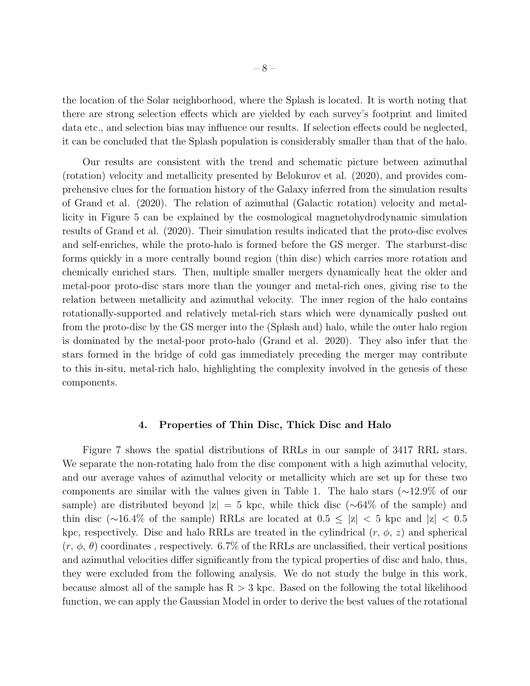the location of the Solar neighborhood, where the Splash is located. It is worth noting that there are strong selection effects which are yielded by each survey's footprint and limited data etc., and selection bias may influence our results. If selection effects could be neglected, it can be concluded that the Splash population is considerably smaller than that of the halo.

Our results are consistent with the trend and schematic picture between azimuthal (rotation) velocity and metallicity presented by Belokurov et al. (2020), and provides comprehensive clues for the formation history of the Galaxy inferred from the simulation results of Grand et al. (2020). The relation of azimuthal (Galactic rotation) velocity and metallicity in Figure 5 can be explained by the cosmological magnetohydrodynamic simulation results of Grand et al. (2020). Their simulation results indicated that the proto-disc evolves and self-enriches, while the proto-halo is formed before the GS merger. The starburst-disc forms quickly in a more centrally bound region (thin disc) which carries more rotation and chemically enriched stars. Then, multiple smaller mergers dynamically heat the older and metal-poor proto-disc stars more than the younger and metal-rich ones, giving rise to the relation between metallicity and azimuthal velocity. The inner region of the halo contains rotationally-supported and relatively metal-rich stars which were dynamically pushed out from the proto-disc by the GS merger into the (Splash and) halo, while the outer halo region is dominated by the metal-poor proto-halo (Grand et al. 2020). They also infer that the stars formed in the bridge of cold gas immediately preceding the merger may contribute to this in-situ, metal-rich halo, highlighting the complexity involved in the genesis of these components.

#### 4. Properties of Thin Disc, Thick Disc and Halo

Figure 7 shows the spatial distributions of RRLs in our sample of 3417 RRL stars. We separate the non-rotating halo from the disc component with a high azimuthal velocity, and our average values of azimuthal velocity or metallicity which are set up for these two components are similar with the values given in Table 1. The halo stars (∼12.9% of our sample) are distributed beyond  $|z| = 5$  kpc, while thick disc ( $\sim 64\%$  of the sample) and thin disc (∼16.4% of the sample) RRLs are located at  $0.5 \leq |z| < 5$  kpc and  $|z| < 0.5$ kpc, respectively. Disc and halo RRLs are treated in the cylindrical  $(r, \phi, z)$  and spherical  $(r, \phi, \theta)$  coordinates, respectively. 6.7% of the RRLs are unclassified, their vertical positions and azimuthal velocities differ significantly from the typical properties of disc and halo, thus, they were excluded from the following analysis. We do not study the bulge in this work, because almost all of the sample has  $R > 3$  kpc. Based on the following the total likelihood function, we can apply the Gaussian Model in order to derive the best values of the rotational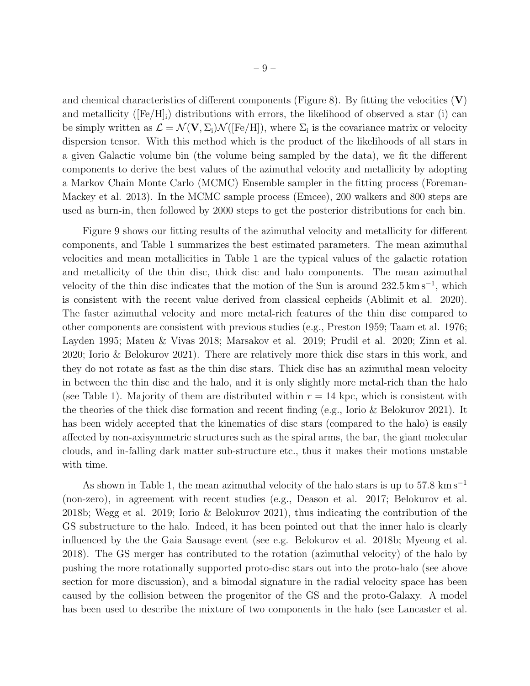and chemical characteristics of different components (Figure 8). By fitting the velocities  $(V)$ and metallicity ( $[Fe/H]$ <sub>i</sub>) distributions with errors, the likelihood of observed a star (i) can be simply written as  $\mathcal{L} = \mathcal{N}(\mathbf{V}, \Sigma_i) \mathcal{N}([\text{Fe/H}]),$  where  $\Sigma_i$  is the covariance matrix or velocity dispersion tensor. With this method which is the product of the likelihoods of all stars in a given Galactic volume bin (the volume being sampled by the data), we fit the different components to derive the best values of the azimuthal velocity and metallicity by adopting a Markov Chain Monte Carlo (MCMC) Ensemble sampler in the fitting process (Foreman-Mackey et al. 2013). In the MCMC sample process (Emcee), 200 walkers and 800 steps are used as burn-in, then followed by 2000 steps to get the posterior distributions for each bin.

Figure 9 shows our fitting results of the azimuthal velocity and metallicity for different components, and Table 1 summarizes the best estimated parameters. The mean azimuthal velocities and mean metallicities in Table 1 are the typical values of the galactic rotation and metallicity of the thin disc, thick disc and halo components. The mean azimuthal velocity of the thin disc indicates that the motion of the Sun is around  $232.5 \text{ km s}^{-1}$ , which is consistent with the recent value derived from classical cepheids (Ablimit et al. 2020). The faster azimuthal velocity and more metal-rich features of the thin disc compared to other components are consistent with previous studies (e.g., Preston 1959; Taam et al. 1976; Layden 1995; Mateu & Vivas 2018; Marsakov et al. 2019; Prudil et al. 2020; Zinn et al. 2020; Iorio & Belokurov 2021). There are relatively more thick disc stars in this work, and they do not rotate as fast as the thin disc stars. Thick disc has an azimuthal mean velocity in between the thin disc and the halo, and it is only slightly more metal-rich than the halo (see Table 1). Majority of them are distributed within  $r = 14$  kpc, which is consistent with the theories of the thick disc formation and recent finding (e.g., Iorio & Belokurov 2021). It has been widely accepted that the kinematics of disc stars (compared to the halo) is easily affected by non-axisymmetric structures such as the spiral arms, the bar, the giant molecular clouds, and in-falling dark matter sub-structure etc., thus it makes their motions unstable with time.

As shown in Table 1, the mean azimuthal velocity of the halo stars is up to  $57.8 \text{ km s}^{-1}$ (non-zero), in agreement with recent studies (e.g., Deason et al. 2017; Belokurov et al. 2018b; Wegg et al. 2019; Iorio & Belokurov 2021), thus indicating the contribution of the GS substructure to the halo. Indeed, it has been pointed out that the inner halo is clearly influenced by the the Gaia Sausage event (see e.g. Belokurov et al. 2018b; Myeong et al. 2018). The GS merger has contributed to the rotation (azimuthal velocity) of the halo by pushing the more rotationally supported proto-disc stars out into the proto-halo (see above section for more discussion), and a bimodal signature in the radial velocity space has been caused by the collision between the progenitor of the GS and the proto-Galaxy. A model has been used to describe the mixture of two components in the halo (see Lancaster et al.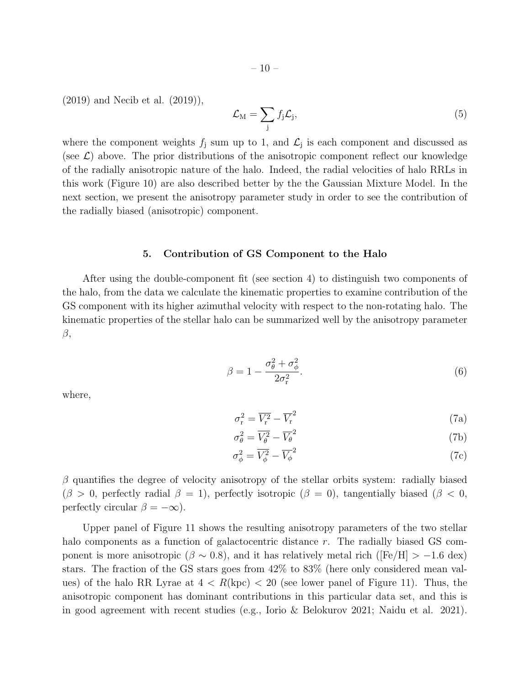(2019) and Necib et al. (2019)),

$$
\mathcal{L}_{\mathrm{M}} = \sum_{j} f_{j} \mathcal{L}_{j},\tag{5}
$$

where the component weights  $f_j$  sum up to 1, and  $\mathcal{L}_j$  is each component and discussed as (see  $\mathcal{L}$ ) above. The prior distributions of the anisotropic component reflect our knowledge of the radially anisotropic nature of the halo. Indeed, the radial velocities of halo RRLs in this work (Figure 10) are also described better by the the Gaussian Mixture Model. In the next section, we present the anisotropy parameter study in order to see the contribution of the radially biased (anisotropic) component.

#### 5. Contribution of GS Component to the Halo

After using the double-component fit (see section 4) to distinguish two components of the halo, from the data we calculate the kinematic properties to examine contribution of the GS component with its higher azimuthal velocity with respect to the non-rotating halo. The kinematic properties of the stellar halo can be summarized well by the anisotropy parameter β,

$$
\beta = 1 - \frac{\sigma_{\theta}^2 + \sigma_{\phi}^2}{2\sigma_{\rm r}^2}.
$$
\n(6)

where,

$$
\sigma_{\rm r}^2 = \overline{V_{\rm r}^2} - \overline{V_{\rm r}^2} \tag{7a}
$$

$$
\sigma_{\theta}^2 = \overline{V_{\theta}^2} - \overline{V_{\theta}}^2 \tag{7b}
$$

$$
\sigma_{\phi}^2 = \overline{V_{\phi}^2} - \overline{V_{\phi}}^2 \tag{7c}
$$

 $\beta$  quantifies the degree of velocity anisotropy of the stellar orbits system: radially biased  $(\beta > 0, \text{ perfectly radial } \beta = 1), \text{ perfectly isotropic } (\beta = 0), \text{ tangentially biased } (\beta < 0, \text{)}$ perfectly circular  $\beta = -\infty$ ).

Upper panel of Figure 11 shows the resulting anisotropy parameters of the two stellar halo components as a function of galactocentric distance r. The radially biased GS component is more anisotropic ( $\beta \sim 0.8$ ), and it has relatively metal rich ([Fe/H] > -1.6 dex) stars. The fraction of the GS stars goes from 42% to 83% (here only considered mean values) of the halo RR Lyrae at  $4 < R$ (kpc)  $< 20$  (see lower panel of Figure 11). Thus, the anisotropic component has dominant contributions in this particular data set, and this is in good agreement with recent studies (e.g., Iorio & Belokurov 2021; Naidu et al. 2021).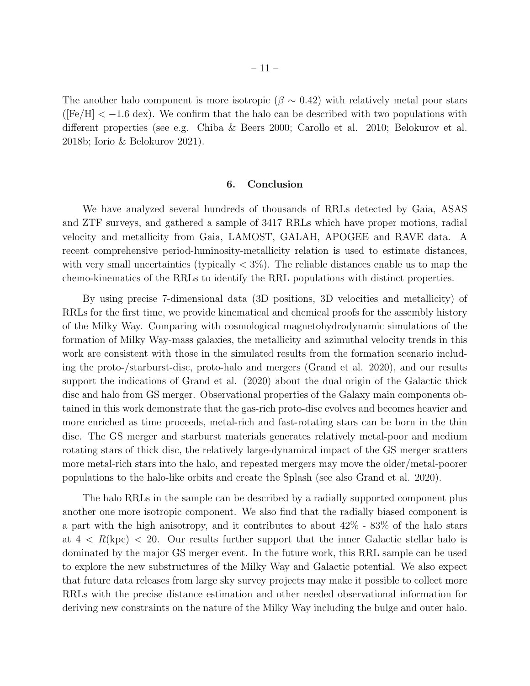The another halo component is more isotropic ( $\beta \sim 0.42$ ) with relatively metal poor stars  $(\text{[Fe/H]} < -1.6 \text{ dex})$ . We confirm that the halo can be described with two populations with different properties (see e.g. Chiba & Beers 2000; Carollo et al. 2010; Belokurov et al. 2018b; Iorio & Belokurov 2021).

#### 6. Conclusion

We have analyzed several hundreds of thousands of RRLs detected by Gaia, ASAS and ZTF surveys, and gathered a sample of 3417 RRLs which have proper motions, radial velocity and metallicity from Gaia, LAMOST, GALAH, APOGEE and RAVE data. A recent comprehensive period-luminosity-metallicity relation is used to estimate distances, with very small uncertainties (typically  $\langle 3\% \rangle$ ). The reliable distances enable us to map the chemo-kinematics of the RRLs to identify the RRL populations with distinct properties.

By using precise 7-dimensional data (3D positions, 3D velocities and metallicity) of RRLs for the first time, we provide kinematical and chemical proofs for the assembly history of the Milky Way. Comparing with cosmological magnetohydrodynamic simulations of the formation of Milky Way-mass galaxies, the metallicity and azimuthal velocity trends in this work are consistent with those in the simulated results from the formation scenario including the proto-/starburst-disc, proto-halo and mergers (Grand et al. 2020), and our results support the indications of Grand et al. (2020) about the dual origin of the Galactic thick disc and halo from GS merger. Observational properties of the Galaxy main components obtained in this work demonstrate that the gas-rich proto-disc evolves and becomes heavier and more enriched as time proceeds, metal-rich and fast-rotating stars can be born in the thin disc. The GS merger and starburst materials generates relatively metal-poor and medium rotating stars of thick disc, the relatively large-dynamical impact of the GS merger scatters more metal-rich stars into the halo, and repeated mergers may move the older/metal-poorer populations to the halo-like orbits and create the Splash (see also Grand et al. 2020).

The halo RRLs in the sample can be described by a radially supported component plus another one more isotropic component. We also find that the radially biased component is a part with the high anisotropy, and it contributes to about 42% - 83% of the halo stars at  $4 < R$ (kpc)  $< 20$ . Our results further support that the inner Galactic stellar halo is dominated by the major GS merger event. In the future work, this RRL sample can be used to explore the new substructures of the Milky Way and Galactic potential. We also expect that future data releases from large sky survey projects may make it possible to collect more RRLs with the precise distance estimation and other needed observational information for deriving new constraints on the nature of the Milky Way including the bulge and outer halo.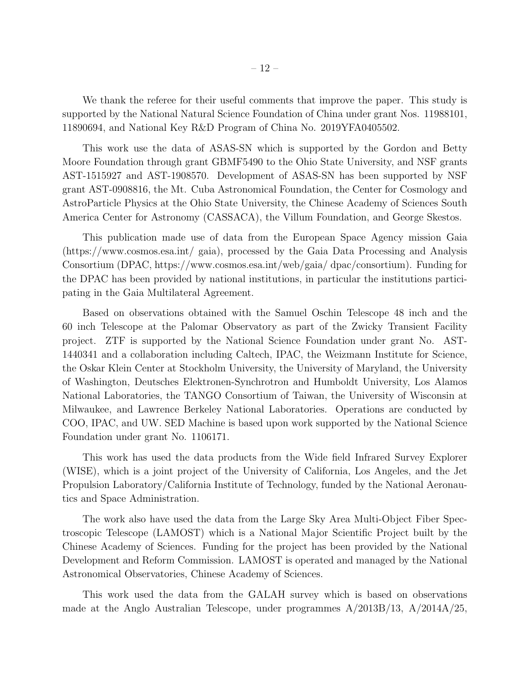We thank the referee for their useful comments that improve the paper. This study is supported by the National Natural Science Foundation of China under grant Nos. 11988101, 11890694, and National Key R&D Program of China No. 2019YFA0405502.

This work use the data of ASAS-SN which is supported by the Gordon and Betty Moore Foundation through grant GBMF5490 to the Ohio State University, and NSF grants AST-1515927 and AST-1908570. Development of ASAS-SN has been supported by NSF grant AST-0908816, the Mt. Cuba Astronomical Foundation, the Center for Cosmology and AstroParticle Physics at the Ohio State University, the Chinese Academy of Sciences South America Center for Astronomy (CASSACA), the Villum Foundation, and George Skestos.

This publication made use of data from the European Space Agency mission Gaia (https://www.cosmos.esa.int/ gaia), processed by the Gaia Data Processing and Analysis Consortium (DPAC, https://www.cosmos.esa.int/web/gaia/ dpac/consortium). Funding for the DPAC has been provided by national institutions, in particular the institutions participating in the Gaia Multilateral Agreement.

Based on observations obtained with the Samuel Oschin Telescope 48 inch and the 60 inch Telescope at the Palomar Observatory as part of the Zwicky Transient Facility project. ZTF is supported by the National Science Foundation under grant No. AST-1440341 and a collaboration including Caltech, IPAC, the Weizmann Institute for Science, the Oskar Klein Center at Stockholm University, the University of Maryland, the University of Washington, Deutsches Elektronen-Synchrotron and Humboldt University, Los Alamos National Laboratories, the TANGO Consortium of Taiwan, the University of Wisconsin at Milwaukee, and Lawrence Berkeley National Laboratories. Operations are conducted by COO, IPAC, and UW. SED Machine is based upon work supported by the National Science Foundation under grant No. 1106171.

This work has used the data products from the Wide field Infrared Survey Explorer (WISE), which is a joint project of the University of California, Los Angeles, and the Jet Propulsion Laboratory/California Institute of Technology, funded by the National Aeronautics and Space Administration.

The work also have used the data from the Large Sky Area Multi-Object Fiber Spectroscopic Telescope (LAMOST) which is a National Major Scientific Project built by the Chinese Academy of Sciences. Funding for the project has been provided by the National Development and Reform Commission. LAMOST is operated and managed by the National Astronomical Observatories, Chinese Academy of Sciences.

This work used the data from the GALAH survey which is based on observations made at the Anglo Australian Telescope, under programmes A/2013B/13, A/2014A/25,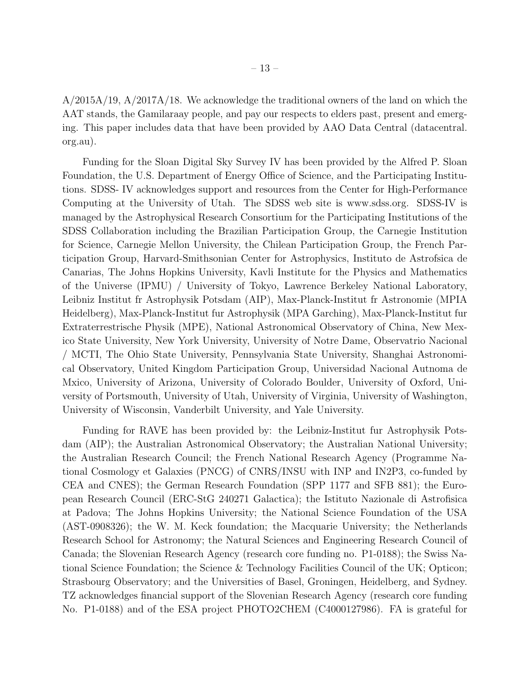A/2015A/19, A/2017A/18. We acknowledge the traditional owners of the land on which the AAT stands, the Gamilaraay people, and pay our respects to elders past, present and emerging. This paper includes data that have been provided by AAO Data Central (datacentral. org.au).

Funding for the Sloan Digital Sky Survey IV has been provided by the Alfred P. Sloan Foundation, the U.S. Department of Energy Office of Science, and the Participating Institutions. SDSS- IV acknowledges support and resources from the Center for High-Performance Computing at the University of Utah. The SDSS web site is www.sdss.org. SDSS-IV is managed by the Astrophysical Research Consortium for the Participating Institutions of the SDSS Collaboration including the Brazilian Participation Group, the Carnegie Institution for Science, Carnegie Mellon University, the Chilean Participation Group, the French Participation Group, Harvard-Smithsonian Center for Astrophysics, Instituto de Astrofsica de Canarias, The Johns Hopkins University, Kavli Institute for the Physics and Mathematics of the Universe (IPMU) / University of Tokyo, Lawrence Berkeley National Laboratory, Leibniz Institut fr Astrophysik Potsdam (AIP), Max-Planck-Institut fr Astronomie (MPIA Heidelberg), Max-Planck-Institut fur Astrophysik (MPA Garching), Max-Planck-Institut fur Extraterrestrische Physik (MPE), National Astronomical Observatory of China, New Mexico State University, New York University, University of Notre Dame, Observatrio Nacional / MCTI, The Ohio State University, Pennsylvania State University, Shanghai Astronomical Observatory, United Kingdom Participation Group, Universidad Nacional Autnoma de Mxico, University of Arizona, University of Colorado Boulder, University of Oxford, University of Portsmouth, University of Utah, University of Virginia, University of Washington, University of Wisconsin, Vanderbilt University, and Yale University.

Funding for RAVE has been provided by: the Leibniz-Institut fur Astrophysik Potsdam (AIP); the Australian Astronomical Observatory; the Australian National University; the Australian Research Council; the French National Research Agency (Programme National Cosmology et Galaxies (PNCG) of CNRS/INSU with INP and IN2P3, co-funded by CEA and CNES); the German Research Foundation (SPP 1177 and SFB 881); the European Research Council (ERC-StG 240271 Galactica); the Istituto Nazionale di Astrofisica at Padova; The Johns Hopkins University; the National Science Foundation of the USA (AST-0908326); the W. M. Keck foundation; the Macquarie University; the Netherlands Research School for Astronomy; the Natural Sciences and Engineering Research Council of Canada; the Slovenian Research Agency (research core funding no. P1-0188); the Swiss National Science Foundation; the Science & Technology Facilities Council of the UK; Opticon; Strasbourg Observatory; and the Universities of Basel, Groningen, Heidelberg, and Sydney. TZ acknowledges financial support of the Slovenian Research Agency (research core funding No. P1-0188) and of the ESA project PHOTO2CHEM (C4000127986). FA is grateful for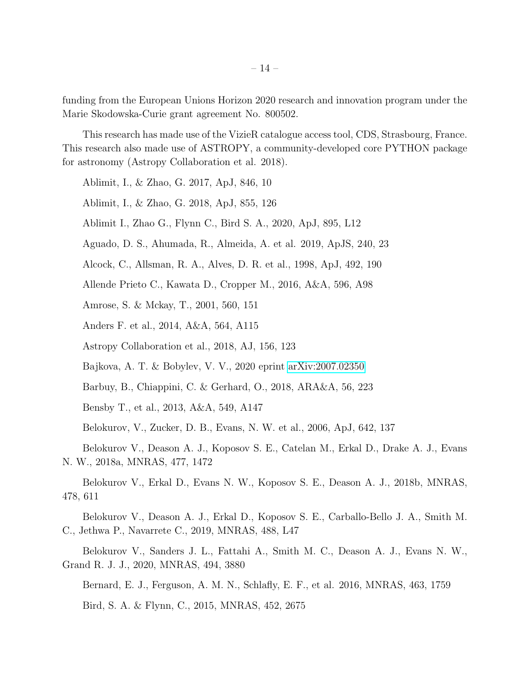funding from the European Unions Horizon 2020 research and innovation program under the Marie Skodowska-Curie grant agreement No. 800502.

This research has made use of the VizieR catalogue access tool, CDS, Strasbourg, France. This research also made use of ASTROPY, a community-developed core PYTHON package for astronomy (Astropy Collaboration et al. 2018).

Ablimit, I., & Zhao, G. 2017, ApJ, 846, 10

Ablimit, I., & Zhao, G. 2018, ApJ, 855, 126

Ablimit I., Zhao G., Flynn C., Bird S. A., 2020, ApJ, 895, L12

Aguado, D. S., Ahumada, R., Almeida, A. et al. 2019, ApJS, 240, 23

Alcock, C., Allsman, R. A., Alves, D. R. et al., 1998, ApJ, 492, 190

Allende Prieto C., Kawata D., Cropper M., 2016, A&A, 596, A98

Amrose, S. & Mckay, T., 2001, 560, 151

Anders F. et al., 2014, A&A, 564, A115

Astropy Collaboration et al., 2018, AJ, 156, 123

Bajkova, A. T. & Bobylev, V. V., 2020 eprint [arXiv:2007.02350](http://arxiv.org/abs/2007.02350)

Barbuy, B., Chiappini, C. & Gerhard, O., 2018, ARA&A, 56, 223

Bensby T., et al., 2013, A&A, 549, A147

Belokurov, V., Zucker, D. B., Evans, N. W. et al., 2006, ApJ, 642, 137

Belokurov V., Deason A. J., Koposov S. E., Catelan M., Erkal D., Drake A. J., Evans N. W., 2018a, MNRAS, 477, 1472

Belokurov V., Erkal D., Evans N. W., Koposov S. E., Deason A. J., 2018b, MNRAS, 478, 611

Belokurov V., Deason A. J., Erkal D., Koposov S. E., Carballo-Bello J. A., Smith M. C., Jethwa P., Navarrete C., 2019, MNRAS, 488, L47

Belokurov V., Sanders J. L., Fattahi A., Smith M. C., Deason A. J., Evans N. W., Grand R. J. J., 2020, MNRAS, 494, 3880

Bernard, E. J., Ferguson, A. M. N., Schlafly, E. F., et al. 2016, MNRAS, 463, 1759

Bird, S. A. & Flynn, C., 2015, MNRAS, 452, 2675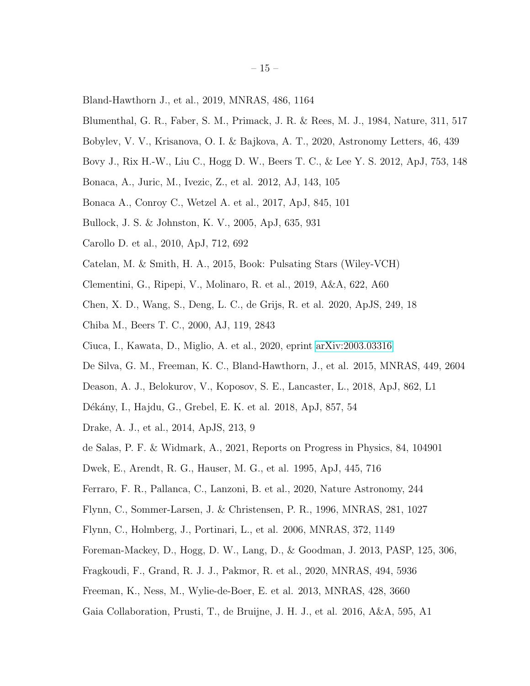- Bland-Hawthorn J., et al., 2019, MNRAS, 486, 1164
- Blumenthal, G. R., Faber, S. M., Primack, J. R. & Rees, M. J., 1984, Nature, 311, 517
- Bobylev, V. V., Krisanova, O. I. & Bajkova, A. T., 2020, Astronomy Letters, 46, 439
- Bovy J., Rix H.-W., Liu C., Hogg D. W., Beers T. C., & Lee Y. S. 2012, ApJ, 753, 148
- Bonaca, A., Juric, M., Ivezic, Z., et al. 2012, AJ, 143, 105
- Bonaca A., Conroy C., Wetzel A. et al., 2017, ApJ, 845, 101
- Bullock, J. S. & Johnston, K. V., 2005, ApJ, 635, 931
- Carollo D. et al., 2010, ApJ, 712, 692
- Catelan, M. & Smith, H. A., 2015, Book: Pulsating Stars (Wiley-VCH)
- Clementini, G., Ripepi, V., Molinaro, R. et al., 2019, A&A, 622, A60
- Chen, X. D., Wang, S., Deng, L. C., de Grijs, R. et al. 2020, ApJS, 249, 18
- Chiba M., Beers T. C., 2000, AJ, 119, 2843
- Ciuca, I., Kawata, D., Miglio, A. et al., 2020, eprint [arXiv:2003.03316](http://arxiv.org/abs/2003.03316)
- De Silva, G. M., Freeman, K. C., Bland-Hawthorn, J., et al. 2015, MNRAS, 449, 2604
- Deason, A. J., Belokurov, V., Koposov, S. E., Lancaster, L., 2018, ApJ, 862, L1
- Dékány, I., Hajdu, G., Grebel, E. K. et al. 2018, ApJ, 857, 54
- Drake, A. J., et al., 2014, ApJS, 213, 9
- de Salas, P. F. & Widmark, A., 2021, Reports on Progress in Physics, 84, 104901
- Dwek, E., Arendt, R. G., Hauser, M. G., et al. 1995, ApJ, 445, 716
- Ferraro, F. R., Pallanca, C., Lanzoni, B. et al., 2020, Nature Astronomy, 244
- Flynn, C., Sommer-Larsen, J. & Christensen, P. R., 1996, MNRAS, 281, 1027
- Flynn, C., Holmberg, J., Portinari, L., et al. 2006, MNRAS, 372, 1149
- Foreman-Mackey, D., Hogg, D. W., Lang, D., & Goodman, J. 2013, PASP, 125, 306,
- Fragkoudi, F., Grand, R. J. J., Pakmor, R. et al., 2020, MNRAS, 494, 5936
- Freeman, K., Ness, M., Wylie-de-Boer, E. et al. 2013, MNRAS, 428, 3660
- Gaia Collaboration, Prusti, T., de Bruijne, J. H. J., et al. 2016, A&A, 595, A1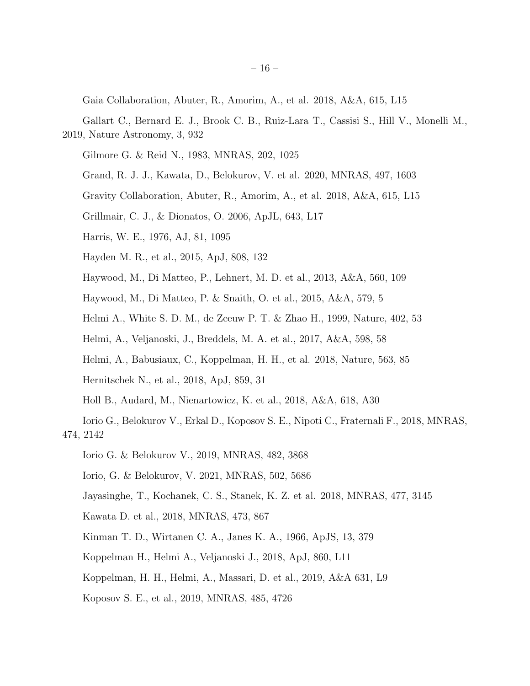Gaia Collaboration, Abuter, R., Amorim, A., et al. 2018, A&A, 615, L15

- Gallart C., Bernard E. J., Brook C. B., Ruiz-Lara T., Cassisi S., Hill V., Monelli M., 2019, Nature Astronomy, 3, 932
	- Gilmore G. & Reid N., 1983, MNRAS, 202, 1025
	- Grand, R. J. J., Kawata, D., Belokurov, V. et al. 2020, MNRAS, 497, 1603
	- Gravity Collaboration, Abuter, R., Amorim, A., et al. 2018, A&A, 615, L15
	- Grillmair, C. J., & Dionatos, O. 2006, ApJL, 643, L17
	- Harris, W. E., 1976, AJ, 81, 1095
	- Hayden M. R., et al., 2015, ApJ, 808, 132
	- Haywood, M., Di Matteo, P., Lehnert, M. D. et al., 2013, A&A, 560, 109
	- Haywood, M., Di Matteo, P. & Snaith, O. et al., 2015, A&A, 579, 5
	- Helmi A., White S. D. M., de Zeeuw P. T. & Zhao H., 1999, Nature, 402, 53
	- Helmi, A., Veljanoski, J., Breddels, M. A. et al., 2017, A&A, 598, 58
	- Helmi, A., Babusiaux, C., Koppelman, H. H., et al. 2018, Nature, 563, 85
	- Hernitschek N., et al., 2018, ApJ, 859, 31
	- Holl B., Audard, M., Nienartowicz, K. et al., 2018, A&A, 618, A30
- Iorio G., Belokurov V., Erkal D., Koposov S. E., Nipoti C., Fraternali F., 2018, MNRAS, 474, 2142
	- Iorio G. & Belokurov V., 2019, MNRAS, 482, 3868
	- Iorio, G. & Belokurov, V. 2021, MNRAS, 502, 5686
	- Jayasinghe, T., Kochanek, C. S., Stanek, K. Z. et al. 2018, MNRAS, 477, 3145
	- Kawata D. et al., 2018, MNRAS, 473, 867
	- Kinman T. D., Wirtanen C. A., Janes K. A., 1966, ApJS, 13, 379
	- Koppelman H., Helmi A., Veljanoski J., 2018, ApJ, 860, L11
	- Koppelman, H. H., Helmi, A., Massari, D. et al., 2019, A&A 631, L9
	- Koposov S. E., et al., 2019, MNRAS, 485, 4726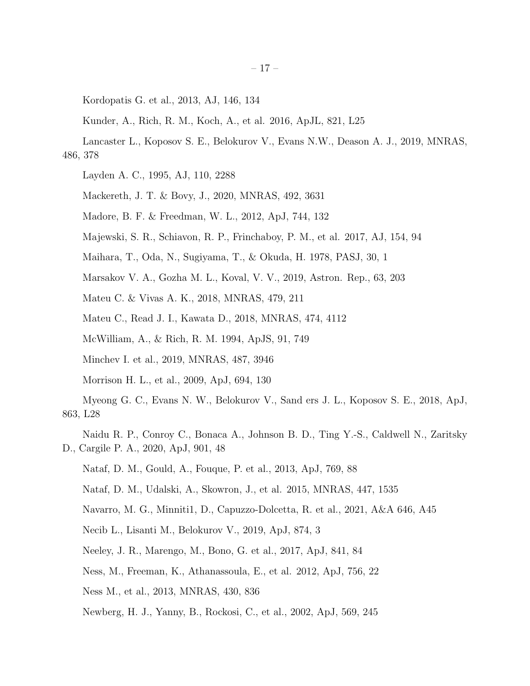Kordopatis G. et al., 2013, AJ, 146, 134

Kunder, A., Rich, R. M., Koch, A., et al. 2016, ApJL, 821, L25

- Lancaster L., Koposov S. E., Belokurov V., Evans N.W., Deason A. J., 2019, MNRAS, 486, 378
	- Layden A. C., 1995, AJ, 110, 2288
	- Mackereth, J. T. & Bovy, J., 2020, MNRAS, 492, 3631
	- Madore, B. F. & Freedman, W. L., 2012, ApJ, 744, 132
	- Majewski, S. R., Schiavon, R. P., Frinchaboy, P. M., et al. 2017, AJ, 154, 94
	- Maihara, T., Oda, N., Sugiyama, T., & Okuda, H. 1978, PASJ, 30, 1
	- Marsakov V. A., Gozha M. L., Koval, V. V., 2019, Astron. Rep., 63, 203
	- Mateu C. & Vivas A. K., 2018, MNRAS, 479, 211
	- Mateu C., Read J. I., Kawata D., 2018, MNRAS, 474, 4112
	- McWilliam, A., & Rich, R. M. 1994, ApJS, 91, 749
	- Minchev I. et al., 2019, MNRAS, 487, 3946
	- Morrison H. L., et al., 2009, ApJ, 694, 130
- Myeong G. C., Evans N. W., Belokurov V., Sand ers J. L., Koposov S. E., 2018, ApJ, 863, L28
- Naidu R. P., Conroy C., Bonaca A., Johnson B. D., Ting Y.-S., Caldwell N., Zaritsky D., Cargile P. A., 2020, ApJ, 901, 48
	- Nataf, D. M., Gould, A., Fouque, P. et al., 2013, ApJ, 769, 88
	- Nataf, D. M., Udalski, A., Skowron, J., et al. 2015, MNRAS, 447, 1535
	- Navarro, M. G., Minniti1, D., Capuzzo-Dolcetta, R. et al., 2021, A&A 646, A45
	- Necib L., Lisanti M., Belokurov V., 2019, ApJ, 874, 3
	- Neeley, J. R., Marengo, M., Bono, G. et al., 2017, ApJ, 841, 84
	- Ness, M., Freeman, K., Athanassoula, E., et al. 2012, ApJ, 756, 22
	- Ness M., et al., 2013, MNRAS, 430, 836
	- Newberg, H. J., Yanny, B., Rockosi, C., et al., 2002, ApJ, 569, 245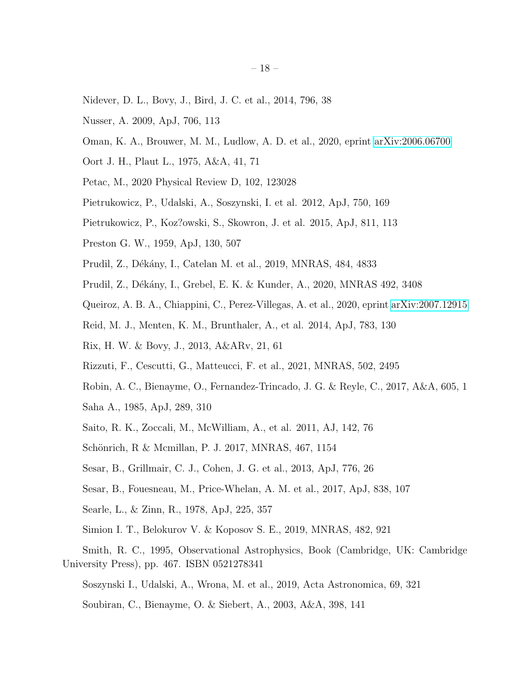- Nidever, D. L., Bovy, J., Bird, J. C. et al., 2014, 796, 38
- Nusser, A. 2009, ApJ, 706, 113
- Oman, K. A., Brouwer, M. M., Ludlow, A. D. et al., 2020, eprint [arXiv:2006.06700](http://arxiv.org/abs/2006.06700)
- Oort J. H., Plaut L., 1975, A&A, 41, 71
- Petac, M., 2020 Physical Review D, 102, 123028
- Pietrukowicz, P., Udalski, A., Soszynski, I. et al. 2012, ApJ, 750, 169
- Pietrukowicz, P., Koz?owski, S., Skowron, J. et al. 2015, ApJ, 811, 113
- Preston G. W., 1959, ApJ, 130, 507
- Prudil, Z., Dékány, I., Catelan M. et al., 2019, MNRAS, 484, 4833
- Prudil, Z., Dékány, I., Grebel, E. K. & Kunder, A., 2020, MNRAS 492, 3408
- Queiroz, A. B. A., Chiappini, C., Perez-Villegas, A. et al., 2020, eprint [arXiv:2007.12915](http://arxiv.org/abs/2007.12915)
- Reid, M. J., Menten, K. M., Brunthaler, A., et al. 2014, ApJ, 783, 130
- Rix, H. W. & Bovy, J., 2013, A&ARv, 21, 61
- Rizzuti, F., Cescutti, G., Matteucci, F. et al., 2021, MNRAS, 502, 2495
- Robin, A. C., Bienayme, O., Fernandez-Trincado, J. G. & Reyle, C., 2017, A&A, 605, 1
- Saha A., 1985, ApJ, 289, 310
- Saito, R. K., Zoccali, M., McWilliam, A., et al. 2011, AJ, 142, 76
- Schönrich, R & Mcmillan, P. J. 2017, MNRAS, 467, 1154
- Sesar, B., Grillmair, C. J., Cohen, J. G. et al., 2013, ApJ, 776, 26
- Sesar, B., Fouesneau, M., Price-Whelan, A. M. et al., 2017, ApJ, 838, 107
- Searle, L., & Zinn, R., 1978, ApJ, 225, 357
- Simion I. T., Belokurov V. & Koposov S. E., 2019, MNRAS, 482, 921
- Smith, R. C., 1995, Observational Astrophysics, Book (Cambridge, UK: Cambridge University Press), pp. 467. ISBN 0521278341
	- Soszynski I., Udalski, A., Wrona, M. et al., 2019, Acta Astronomica, 69, 321
	- Soubiran, C., Bienayme, O. & Siebert, A., 2003, A&A, 398, 141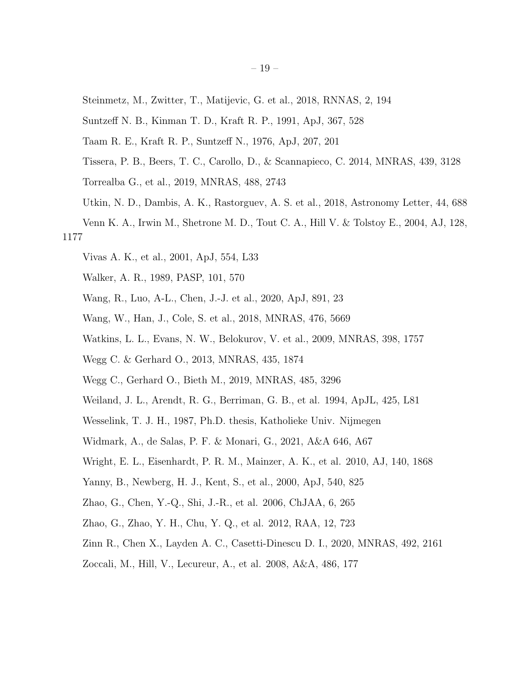- Steinmetz, M., Zwitter, T., Matijevic, G. et al., 2018, RNNAS, 2, 194
- Suntzeff N. B., Kinman T. D., Kraft R. P., 1991, ApJ, 367, 528
- Taam R. E., Kraft R. P., Suntzeff N., 1976, ApJ, 207, 201
- Tissera, P. B., Beers, T. C., Carollo, D., & Scannapieco, C. 2014, MNRAS, 439, 3128
- Torrealba G., et al., 2019, MNRAS, 488, 2743
- Utkin, N. D., Dambis, A. K., Rastorguev, A. S. et al., 2018, Astronomy Letter, 44, 688
- Venn K. A., Irwin M., Shetrone M. D., Tout C. A., Hill V. & Tolstoy E., 2004, AJ, 128, 1177
	- Vivas A. K., et al., 2001, ApJ, 554, L33
	- Walker, A. R., 1989, PASP, 101, 570
	- Wang, R., Luo, A-L., Chen, J.-J. et al., 2020, ApJ, 891, 23
	- Wang, W., Han, J., Cole, S. et al., 2018, MNRAS, 476, 5669
	- Watkins, L. L., Evans, N. W., Belokurov, V. et al., 2009, MNRAS, 398, 1757
	- Wegg C. & Gerhard O., 2013, MNRAS, 435, 1874
	- Wegg C., Gerhard O., Bieth M., 2019, MNRAS, 485, 3296
	- Weiland, J. L., Arendt, R. G., Berriman, G. B., et al. 1994, ApJL, 425, L81
	- Wesselink, T. J. H., 1987, Ph.D. thesis, Katholieke Univ. Nijmegen
	- Widmark, A., de Salas, P. F. & Monari, G., 2021, A&A 646, A67
	- Wright, E. L., Eisenhardt, P. R. M., Mainzer, A. K., et al. 2010, AJ, 140, 1868
	- Yanny, B., Newberg, H. J., Kent, S., et al., 2000, ApJ, 540, 825
	- Zhao, G., Chen, Y.-Q., Shi, J.-R., et al. 2006, ChJAA, 6, 265
	- Zhao, G., Zhao, Y. H., Chu, Y. Q., et al. 2012, RAA, 12, 723
	- Zinn R., Chen X., Layden A. C., Casetti-Dinescu D. I., 2020, MNRAS, 492, 2161
	- Zoccali, M., Hill, V., Lecureur, A., et al. 2008, A&A, 486, 177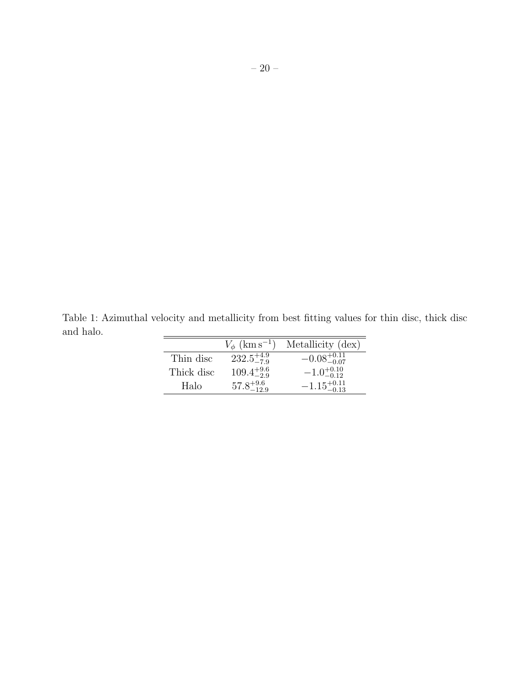Table 1: Azimuthal velocity and metallicity from best fitting values for thin disc, thick disc and halo.  $=$ 

| $-0.08^{+0.11}_{-0.07}$<br>$232.5^{+4.9}_{-7.9}$<br>Thin disc<br>$109.4^{+9.6}_{-2.9}$<br>$-1.0^{+0.10}_{-0.12}$<br>Thick disc<br>Halo | $V_{\phi}$ (km s <sup>-1</sup> ) | Metallicity (dex)       |
|----------------------------------------------------------------------------------------------------------------------------------------|----------------------------------|-------------------------|
|                                                                                                                                        |                                  |                         |
|                                                                                                                                        |                                  |                         |
|                                                                                                                                        | $57.8^{+9.6}_{-12.9}$            | $-1.15_{-0.13}^{+0.11}$ |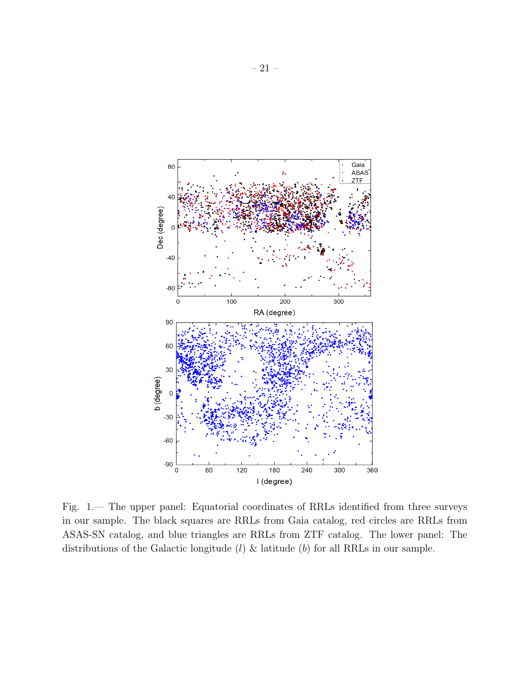

Fig. 1.— The upper panel: Equatorial coordinates of RRLs identified from three surveys in our sample. The black squares are RRLs from Gaia catalog, red circles are RRLs from ASAS-SN catalog, and blue triangles are RRLs from ZTF catalog. The lower panel: The distributions of the Galactic longitude  $(l)$  & latitude  $(b)$  for all RRLs in our sample.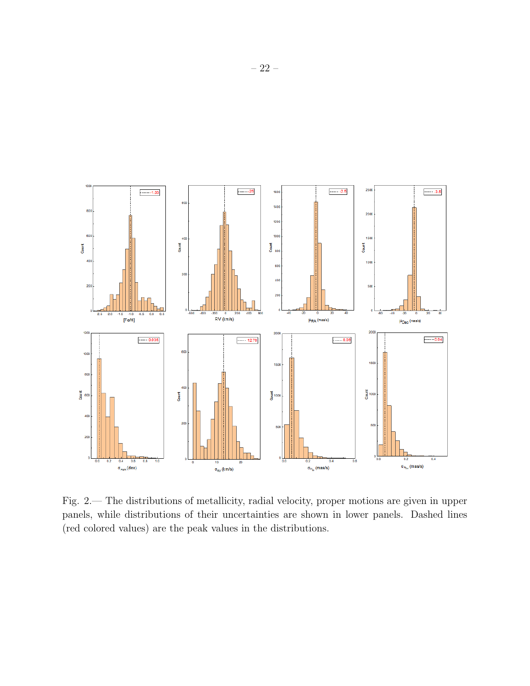

Fig. 2.— The distributions of metallicity, radial velocity, proper motions are given in upper panels, while distributions of their uncertainties are shown in lower panels. Dashed lines (red colored values) are the peak values in the distributions.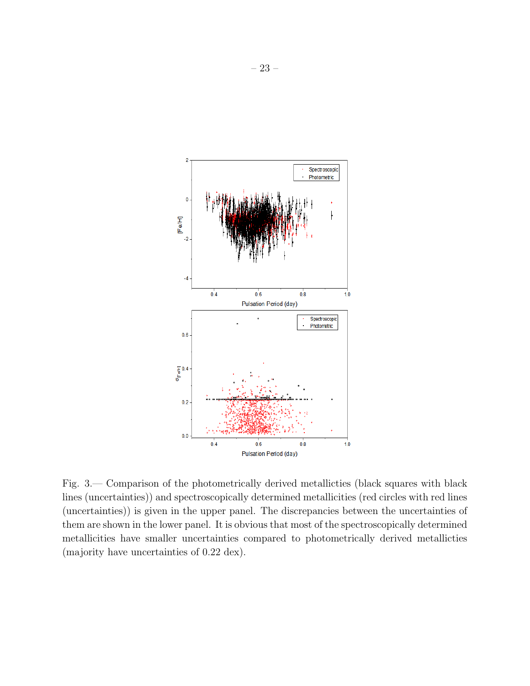

Fig. 3.— Comparison of the photometrically derived metallicties (black squares with black lines (uncertainties)) and spectroscopically determined metallicities (red circles with red lines (uncertainties)) is given in the upper panel. The discrepancies between the uncertainties of them are shown in the lower panel. It is obvious that most of the spectroscopically determined metallicities have smaller uncertainties compared to photometrically derived metallicties (majority have uncertainties of 0.22 dex).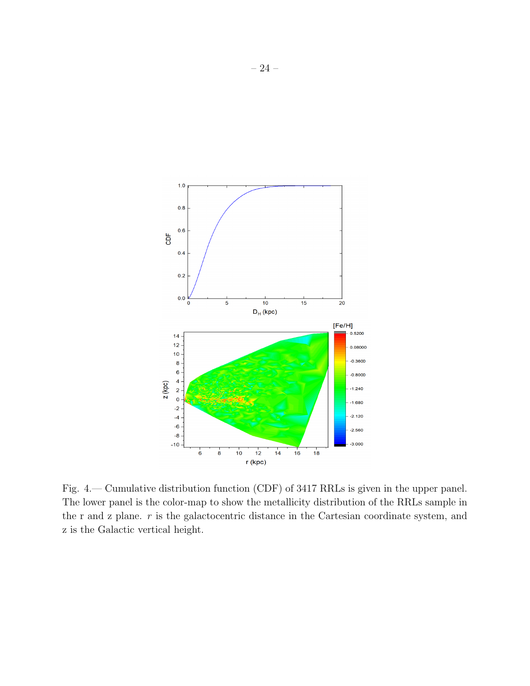

 $1.0$ 

 $0.8$ 

 $0.6$ CDF

 $0.4$ 

 $0.2$ 



Fig. 4.— Cumulative distribution function (CDF) of 3417 RRLs is given in the upper panel. The lower panel is the color-map to show the metallicity distribution of the RRLs sample in the r and z plane.  $r$  is the galactocentric distance in the Cartesian coordinate system, and z is the Galactic vertical height.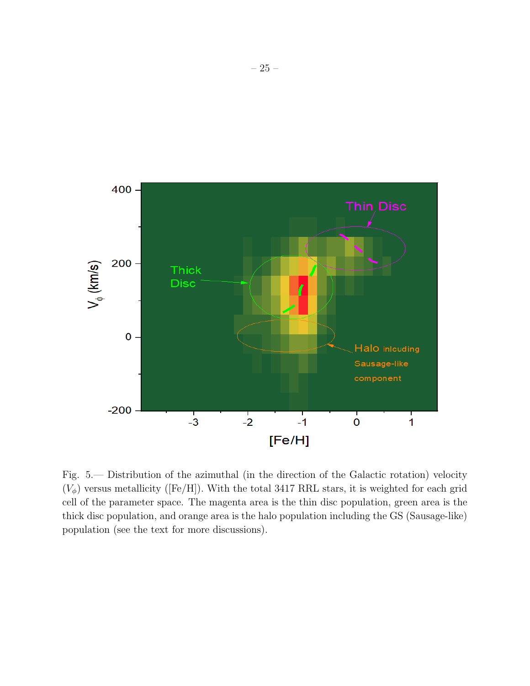

Fig. 5.— Distribution of the azimuthal (in the direction of the Galactic rotation) velocity  $(V_{\phi})$  versus metallicity ([Fe/H]). With the total 3417 RRL stars, it is weighted for each grid cell of the parameter space. The magenta area is the thin disc population, green area is the thick disc population, and orange area is the halo population including the GS (Sausage-like) population (see the text for more discussions).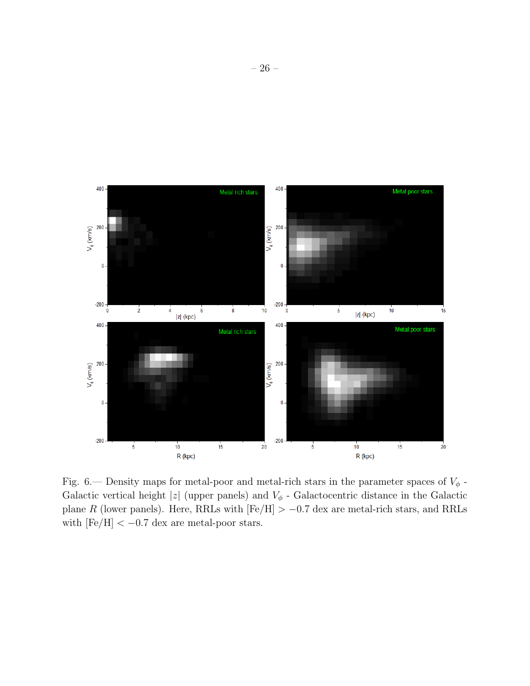

Fig. 6.— Density maps for metal-poor and metal-rich stars in the parameter spaces of  $V_{\phi}$  -Galactic vertical height  $|z|$  (upper panels) and  $V_{\phi}$  - Galactocentric distance in the Galactic plane R (lower panels). Here, RRLs with  $[Fe/H] > -0.7$  dex are metal-rich stars, and RRLs with  $\mathrm{[Fe/H]} < -0.7$  dex are metal-poor stars.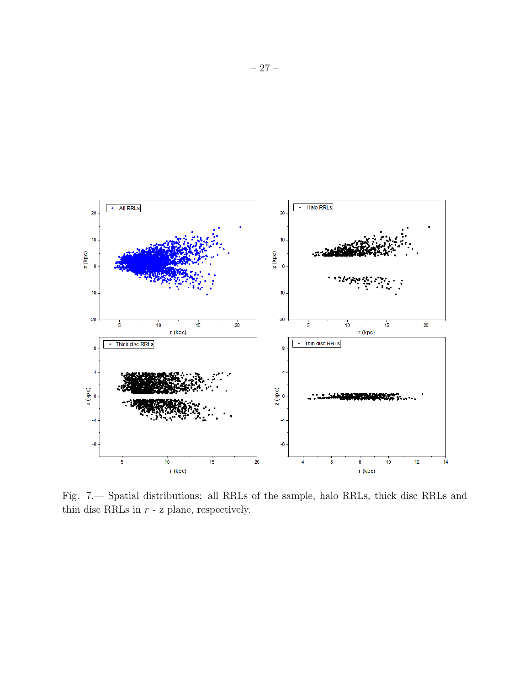

Fig. 7.— Spatial distributions: all RRLs of the sample, halo RRLs, thick disc RRLs and thin disc RRLs in  $r$  -  ${\bf z}$  plane, respectively.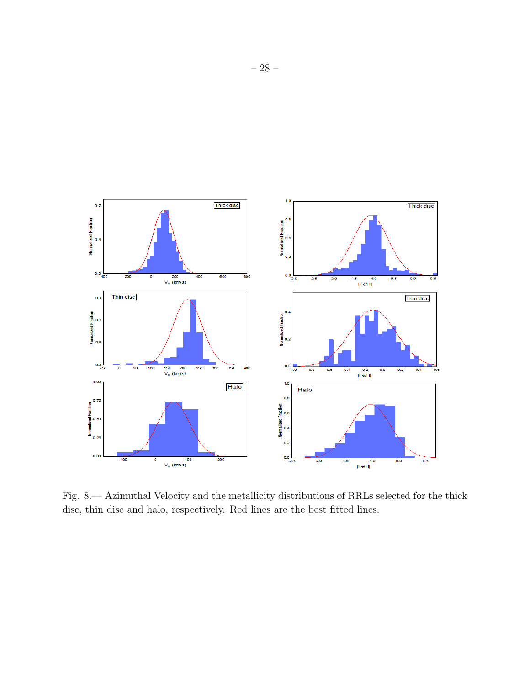

Fig. 8.— Azimuthal Velocity and the metallicity distributions of RRLs selected for the thick disc, thin disc and halo, respectively. Red lines are the best fitted lines.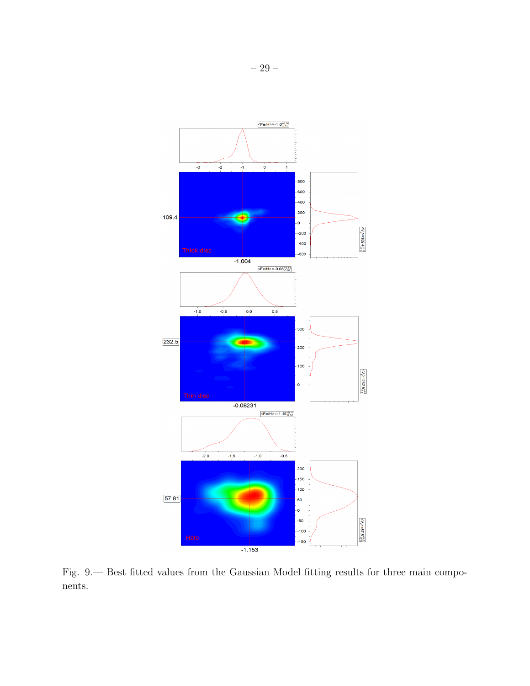

Fig. 9.— Best fitted values from the Gaussian Model fitting results for three main components.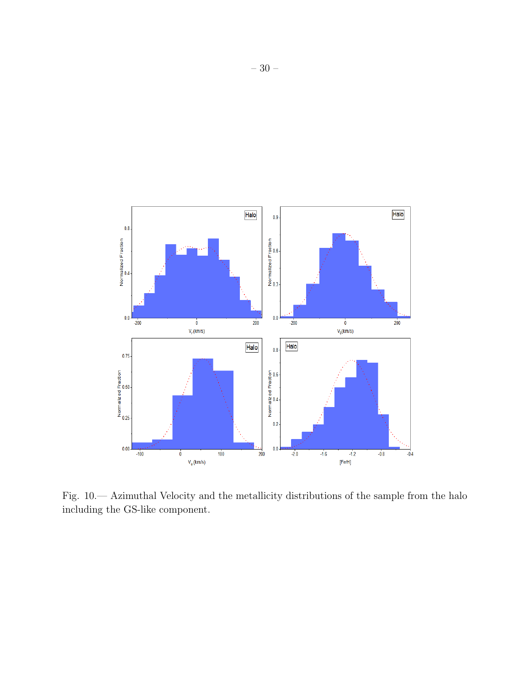

Fig. 10.— Azimuthal Velocity and the metallicity distributions of the sample from the halo including the GS-like component.